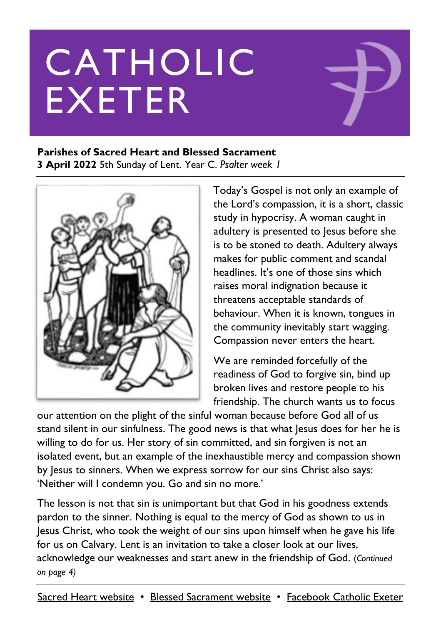# CATHOLIC EXETER

#### **Parishes of Sacred Heart and Blessed Sacrament**

**3 April 2022** 5th Sunday of Lent. Year C. *Psalter week 1*



Today's Gospel is not only an example of the Lord's compassion, it is a short, classic study in hypocrisy. A woman caught in adultery is presented to Jesus before she is to be stoned to death. Adultery always makes for public comment and scandal headlines. It's one of those sins which raises moral indignation because it threatens acceptable standards of behaviour. When it is known, tongues in the community inevitably start wagging. Compassion never enters the heart.

We are reminded forcefully of the readiness of God to forgive sin, bind up broken lives and restore people to his friendship. The church wants us to focus

our attention on the plight of the sinful woman because before God all of us stand silent in our sinfulness. The good news is that what Jesus does for her he is willing to do for us. Her story of sin committed, and sin forgiven is not an isolated event, but an example of the inexhaustible mercy and compassion shown by Jesus to sinners. When we express sorrow for our sins Christ also says: 'Neither will I condemn you. Go and sin no more.'

The lesson is not that sin is unimportant but that God in his goodness extends pardon to the sinner. Nothing is equal to the mercy of God as shown to us in Jesus Christ, who took the weight of our sins upon himself when he gave his life for us on Calvary. Lent is an invitation to take a closer look at our lives, acknowledge our weaknesses and start anew in the friendship of God. (*Continued on page 4)*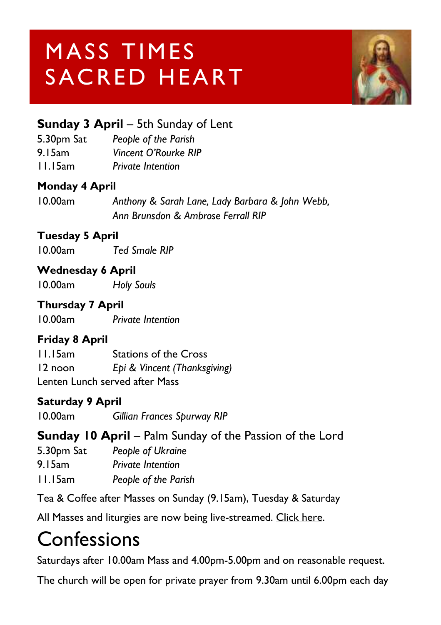# MASS TIMES SACRED HEART



#### **Sunday 3 April** – 5th Sunday of Lent

5.30pm Sat *People of the Parish* 9.15am *Vincent O'Rourke RIP*

11.15am *Private Intention*

#### **Monday 4 April**

10.00am *Anthony & Sarah Lane, Lady Barbara & John Webb, Ann Brunsdon & Ambrose Ferrall RIP*

#### **Tuesday 5 April**

10.00am *Ted Smale RIP*

#### **Wednesday 6 April**

10.00am *Holy Souls*

#### **Thursday 7 April**

10.00am *Private Intention*

#### **Friday 8 April**

11.15am Stations of the Cross 12 noon *Epi & Vincent (Thanksgiving)* Lenten Lunch served after Mass

#### **Saturday 9 April**

10.00am *Gillian Frances Spurway RIP*

#### **Sunday 10 April** – Palm Sunday of the Passion of the Lord

| 5.30pm Sat | People of Ukraine        |
|------------|--------------------------|
| 9. I 5am   | <b>Private Intention</b> |
| 11.15am    | People of the Parish     |

Tea & Coffee after Masses on Sunday (9.15am), Tuesday & Saturday

All Masses and liturgies are now being live-streamed. [Click here.](https://www.youtube.com/channel/UCqZLydKWQ6CqG2utRNBeKmA)

### **Confessions**

Saturdays after 10.00am Mass and 4.00pm-5.00pm and on reasonable request.

The church will be open for private prayer from 9.30am until 6.00pm each day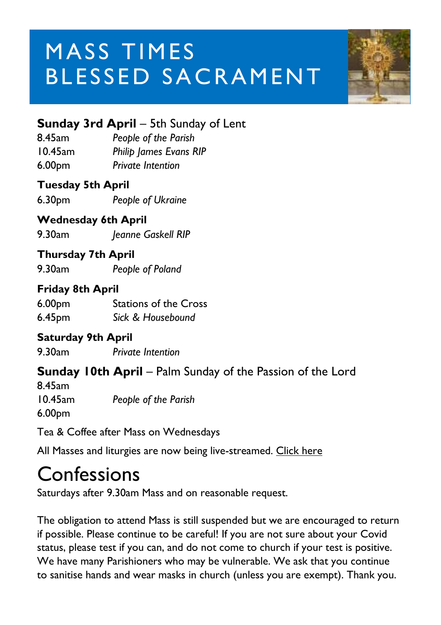# MASS TIMES BLESSED SACRAMENT



#### **Sunday 3rd April** – 5th Sunday of Lent

8.45am *People of the Parish*  10.45am *Philip James Evans RIP* 6.00pm *Private Intention* 

#### **Tuesday 5th April**

6.30pm *People of Ukraine*

#### **Wednesday 6th April**

9.30am *Jeanne Gaskell RIP*

#### **Thursday 7th April**

9.30am *People of Poland*

#### **Friday 8th April**

6.00pm Stations of the Cross 6.45pm *Sick & Housebound*

#### **Saturday 9th April**

9.30am *Private Intention*

#### **Sunday 10th April** – Palm Sunday of the Passion of the Lord

8.45am 10.45am *People of the Parish* 6.00pm

Tea & Coffee after Mass on Wednesdays

All Masses and liturgies are now being live-streamed. [Click here](https://www.youtube.com/c/BlessedSacramentExeter)

#### Confessions

Saturdays after 9.30am Mass and on reasonable request.

The obligation to attend Mass is still suspended but we are encouraged to return if possible. Please continue to be careful! If you are not sure about your Covid status, please test if you can, and do not come to church if your test is positive. We have many Parishioners who may be vulnerable. We ask that you continue to sanitise hands and wear masks in church (unless you are exempt). Thank you.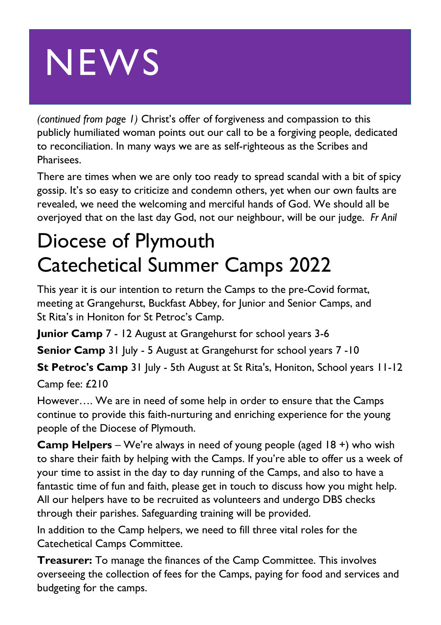# **NEWS**

*(continued from page 1)* Christ's offer of forgiveness and compassion to this publicly humiliated woman points out our call to be a forgiving people, dedicated to reconciliation. In many ways we are as self-righteous as the Scribes and Pharisees.

There are times when we are only too ready to spread scandal with a bit of spicy gossip. It's so easy to criticize and condemn others, yet when our own faults are revealed, we need the welcoming and merciful hands of God. We should all be overjoyed that on the last day God, not our neighbour, will be our judge. *Fr Anil*

### Diocese of Plymouth Catechetical Summer Camps 2022

This year it is our intention to return the Camps to the pre-Covid format, meeting at Grangehurst, Buckfast Abbey, for Junior and Senior Camps, and St Rita's in Honiton for St Petroc's Camp.

**Junior Camp** 7 - 12 August at Grangehurst for school years 3-6

**Senior Camp** 31 July - 5 August at Grangehurst for school years 7 -10

**St Petroc's Camp** 31 July - 5th August at St Rita's, Honiton, School years 11-12 Camp fee: £210

However…. We are in need of some help in order to ensure that the Camps continue to provide this faith-nurturing and enriching experience for the young people of the Diocese of Plymouth.

**Camp Helpers** – We're always in need of young people (aged 18 +) who wish to share their faith by helping with the Camps. If you're able to offer us a week of your time to assist in the day to day running of the Camps, and also to have a fantastic time of fun and faith, please get in touch to discuss how you might help. All our helpers have to be recruited as volunteers and undergo DBS checks through their parishes. Safeguarding training will be provided.

In addition to the Camp helpers, we need to fill three vital roles for the Catechetical Camps Committee.

**Treasurer:** To manage the finances of the Camp Committee. This involves overseeing the collection of fees for the Camps, paying for food and services and budgeting for the camps.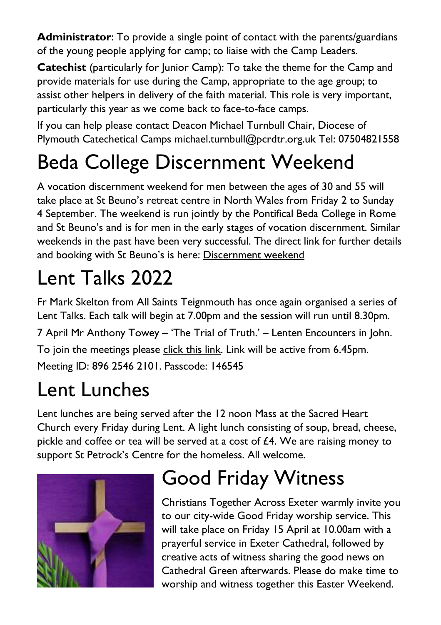**Administrator**: To provide a single point of contact with the parents/guardians of the young people applying for camp; to liaise with the Camp Leaders.

**Catechist** (particularly for lunior Camp): To take the theme for the Camp and provide materials for use during the Camp, appropriate to the age group; to assist other helpers in delivery of the faith material. This role is very important, particularly this year as we come back to face-to-face camps.

If you can help please contact Deacon Michael Turnbull Chair, Diocese of Plymouth Catechetical Camps michael.turnbull@pcrdtr.org.uk Tel: 07504821558

## Beda College Discernment Weekend

A vocation discernment weekend for men between the ages of 30 and 55 will take place at St Beuno's retreat centre in North Wales from Friday 2 to Sunday 4 September. The weekend is run jointly by the Pontifical Beda College in Rome and St Beuno's and is for men in the early stages of vocation discernment. Similar weekends in the past have been very successful. The direct link for further details and booking with St Beuno's is here: [Discernment weekend](file:///C:/Users/administrator1/Documents/Catholic%20Exeter%20News/Discernment%20Weekend%20for%20Older%20Men%20|%20Pathways%20to%20God)

# Lent Talks 2022

Fr Mark Skelton from All Saints Teignmouth has once again organised a series of Lent Talks. Each talk will begin at 7.00pm and the session will run until 8.30pm. 7 April Mr Anthony Towey – 'The Trial of Truth.' – Lenten Encounters in John. To join the meetings please [click this link.](https://us02web.zoom.us/j/89625462101?pwd=OXpMSUU1TzQ4Z0tJTyt6WFpLaFdTZz09) Link will be active from 6.45pm. Meeting ID: 896 2546 2101. Passcode: 146545

# Lent Lunches

Lent lunches are being served after the 12 noon Mass at the Sacred Heart Church every Friday during Lent. A light lunch consisting of soup, bread, cheese, pickle and coffee or tea will be served at a cost of  $£4$ . We are raising money to support St Petrock's Centre for the homeless. All welcome.



# Good Friday Witness

Christians Together Across Exeter warmly invite you to our city-wide Good Friday worship service. This will take place on Friday 15 April at 10.00am with a prayerful service in Exeter Cathedral, followed by creative acts of witness sharing the good news on Cathedral Green afterwards. Please do make time to worship and witness together this Easter Weekend.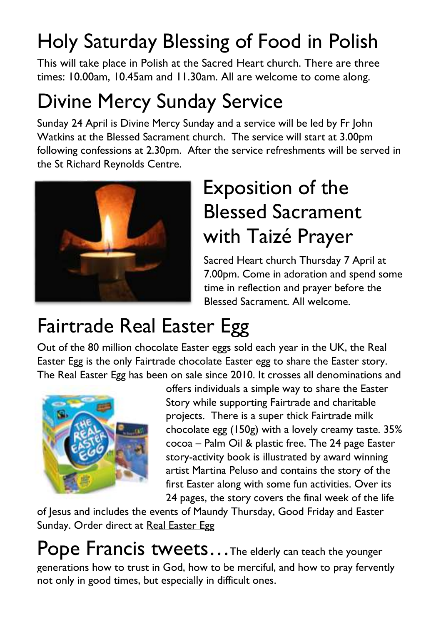## Holy Saturday Blessing of Food in Polish

This will take place in Polish at the Sacred Heart church. There are three times: 10.00am, 10.45am and 11.30am. All are welcome to come along.

## Divine Mercy Sunday Service

Sunday 24 April is Divine Mercy Sunday and a service will be led by Fr John Watkins at the Blessed Sacrament church. The service will start at 3.00pm following confessions at 2.30pm. After the service refreshments will be served in the St Richard Reynolds Centre.



### Exposition of the Blessed Sacrament with Taizé Prayer

Sacred Heart church Thursday 7 April at 7.00pm. Come in adoration and spend some time in reflection and prayer before the Blessed Sacrament. All welcome.

### Fairtrade Real Easter Egg

Out of the 80 million chocolate Easter eggs sold each year in the UK, the Real Easter Egg is the only Fairtrade chocolate Easter egg to share the Easter story. The Real Easter Egg has been on sale since 2010. It crosses all denominations and



offers individuals a simple way to share the Easter Story while supporting Fairtrade and charitable projects. There is a super thick Fairtrade milk chocolate egg (150g) with a lovely creamy taste. 35% cocoa – Palm Oil & plastic free. The 24 page Easter story-activity book is illustrated by award winning artist Martina Peluso and contains the story of the first Easter along with some fun activities. Over its 24 pages, the story covers the final week of the life

of Jesus and includes the events of Maundy Thursday, Good Friday and Easter Sunday. Order direct at [Real Easter Egg](file:///C:/Users/administrator1/Documents/Catholic%20Exeter%20News/www.realeasteregg.co.uk)

Pope Francis tweets... The elderly can teach the younger generations how to trust in God, how to be merciful, and how to pray fervently not only in good times, but especially in difficult ones.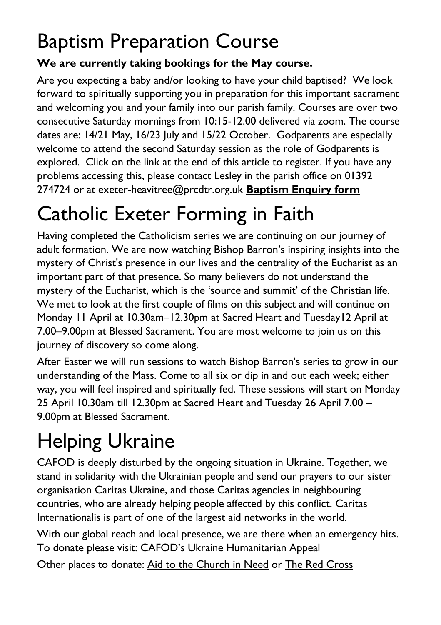### Baptism Preparation Course

#### **We are currently taking bookings for the May course.**

Are you expecting a baby and/or looking to have your child baptised? We look forward to spiritually supporting you in preparation for this important sacrament and welcoming you and your family into our parish family. Courses are over two consecutive Saturday mornings from 10:15-12.00 delivered via zoom. The course dates are: 14/21 May, 16/23 July and 15/22 October. Godparents are especially welcome to attend the second Saturday session as the role of Godparents is explored. Click on the link at the end of this article to register. If you have any problems accessing this, please contact Lesley in the parish office on 01392 274724 or at [exeter-heavitree@prcdtr.org.uk](mailto:Exeter-heavitree@prcdtr.org.uk) **[Baptism Enquiry form](https://docs.google.com/forms/d/1bgbx-gDVZaqwyjbRS6c6lJrCh2Jt-5ZQYy-1tPBwM4g/edit)**

# Catholic Exeter Forming in Faith

Having completed the Catholicism series we are continuing on our journey of adult formation. We are now watching Bishop Barron's inspiring insights into the mystery of Christ's presence in our lives and the centrality of the Eucharist as an important part of that presence. So many believers do not understand the mystery of the Eucharist, which is the 'source and summit' of the Christian life. We met to look at the first couple of films on this subject and will continue on Monday 11 April at 10.30am–12.30pm at Sacred Heart and Tuesday12 April at 7.00–9.00pm at Blessed Sacrament. You are most welcome to join us on this journey of discovery so come along.

After Easter we will run sessions to watch Bishop Barron's series to grow in our understanding of the Mass. Come to all six or dip in and out each week; either way, you will feel inspired and spiritually fed. These sessions will start on Monday 25 April 10.30am till 12.30pm at Sacred Heart and Tuesday 26 April 7.00 – 9.00pm at Blessed Sacrament.

# Helping Ukraine

CAFOD is deeply disturbed by the ongoing situation in Ukraine. Together, we stand in solidarity with the Ukrainian people and send our prayers to our sister organisation Caritas Ukraine, and those Caritas agencies in neighbouring countries, who are already helping people affected by this conflict. Caritas Internationalis is part of one of the largest aid networks in the world.

With our global reach and local presence, we are there when an emergency hits. To donate please visit: CAFOD's Ukra[ine Humanitarian Appeal](https://cafod.org.uk/donations/picker?defaultuniversaltype=single&_Appeal=123770)

Other places to donate: [Aid to the Church in Need](https://acnuk.org/get-involved/donate/?ps_location=ZZDON-438-UNR-WEB&ps_frequency=one-off&ps_frequency=one-off&donation-amount=) or [The Red Cross](https://donate.redcross.org.uk/appeal/ukrainecrisis-appeal)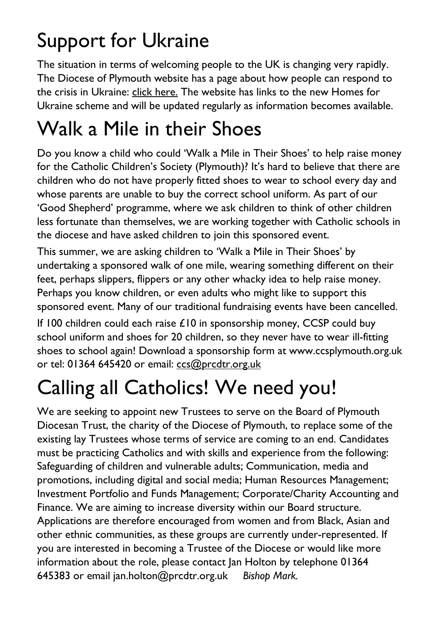## Support for Ukraine

The situation in terms of welcoming people to the UK is changing very rapidly. The Diocese of Plymouth website has a page about how people can respond to the crisis in Ukraine: [click here.](https://www.plymouth-diocese.org.uk/ukrainecrisis/) The website has links to the new Homes for Ukraine scheme and will be updated regularly as information becomes available.

### Walk a Mile in their Shoes

Do you know a child who could 'Walk a Mile in Their Shoes' to help raise money for the Catholic Children's Society (Plymouth)? It's hard to believe that there are children who do not have properly fitted shoes to wear to school every day and whose parents are unable to buy the correct school uniform. As part of our 'Good Shepherd' programme, where we ask children to think of other children less fortunate than themselves, we are working together with Catholic schools in the diocese and have asked children to join this sponsored event.

This summer, we are asking children to 'Walk a Mile in Their Shoes' by undertaking a sponsored walk of one mile, wearing something different on their feet, perhaps slippers, flippers or any other whacky idea to help raise money. Perhaps you know children, or even adults who might like to support this sponsored event. Many of our traditional fundraising events have been cancelled.

If 100 children could each raise  $£10$  in sponsorship money, CCSP could buy school uniform and shoes for 20 children, so they never have to wear ill-fitting shoes to school again! Download a sponsorship form at www.ccsplymouth.org.uk or tel: 01364 645420 or email: [ccs@prcdtr.org.uk](mailto:ccs@prcdtr.org.uk)

# Calling all Catholics! We need you!

We are seeking to appoint new Trustees to serve on the Board of Plymouth Diocesan Trust, the charity of the Diocese of Plymouth, to replace some of the existing lay Trustees whose terms of service are coming to an end. Candidates must be practicing Catholics and with skills and experience from the following: Safeguarding of children and vulnerable adults; Communication, media and promotions, including digital and social media; Human Resources Management; Investment Portfolio and Funds Management; Corporate/Charity Accounting and Finance. We are aiming to increase diversity within our Board structure. Applications are therefore encouraged from women and from Black, Asian and other ethnic communities, as these groups are currently under-represented. If you are interested in becoming a Trustee of the Diocese or would like more information about the role, please contact Jan Holton by telephone 01364 645383 or email jan.holton@prcdtr.org.uk *Bishop Mark.*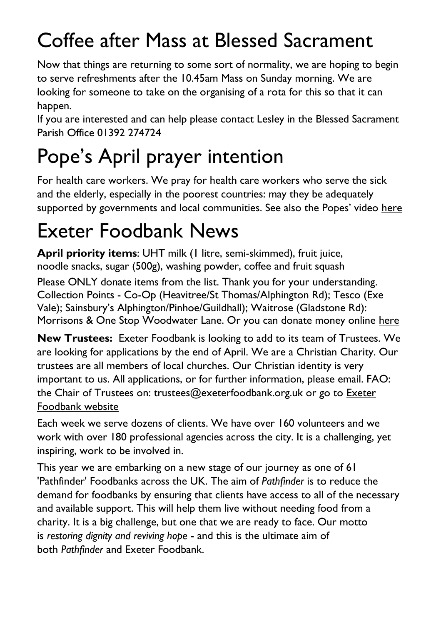## Coffee after Mass at Blessed Sacrament

Now that things are returning to some sort of normality, we are hoping to begin to serve refreshments after the 10.45am Mass on Sunday morning. We are looking for someone to take on the organising of a rota for this so that it can happen.

If you are interested and can help please contact Lesley in the Blessed Sacrament Parish Office 01392 274724

# Pope's April prayer intention

For health care workers. We pray for health care workers who serve the sick and the elderly, especially in the poorest countries: may they be adequately supported by governments and local communities. See also the Popes' video [here](https://thepopevideo.org/)

### Exeter Foodbank News

**April priority items**: UHT milk (1 litre, semi-skimmed), fruit juice, noodle snacks, sugar (500g), washing powder, coffee and fruit squash

Please ONLY donate items from the list. Thank you for your understanding. Collection Points - Co-Op (Heavitree/St Thomas/Alphington Rd); Tesco (Exe Vale); Sainsbury's Alphington/Pinhoe/Guildhall); Waitrose (Gladstone Rd): Morrisons & One Stop Woodwater Lane. Or you can donate money online [here](https://uk.virginmoneygiving.com/charity-web/charity/finalCharityHomepage.action?charityId=1016975&_ga=2.106832579.1384579075.1617955505-1667813714.1617955505)

**New Trustees:** Exeter Foodbank is looking to add to its team of Trustees. We are looking for applications by the end of April. We are a Christian Charity. Our trustees are all members of local churches. Our Christian identity is very important to us. All applications, or for further information, please email. FAO: the Chair of Trustees on: trustees@exeterfoodbank.org.uk or go to [Exeter](http://exeter.foodbank.org.uk/)  [Foodbank website](http://exeter.foodbank.org.uk/)

Each week we serve dozens of clients. We have over 160 volunteers and we work with over 180 professional agencies across the city. It is a challenging, yet inspiring, work to be involved in.

This year we are embarking on a new stage of our journey as one of 61 'Pathfinder' Foodbanks across the UK. The aim of *Pathfinder* is to reduce the demand for foodbanks by ensuring that clients have access to all of the necessary and available support. This will help them live without needing food from a charity. It is a big challenge, but one that we are ready to face. Our motto is *restoring dignity and reviving hope* - and this is the ultimate aim of both *Pathfinder* and Exeter Foodbank.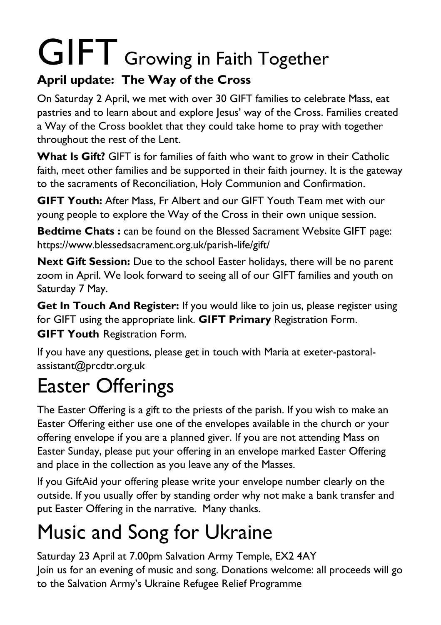# GIFT Growing in Faith Together

#### **April update: The Way of the Cross**

On Saturday 2 April, we met with over 30 GIFT families to celebrate Mass, eat pastries and to learn about and explore Jesus' way of the Cross. Families created a Way of the Cross booklet that they could take home to pray with together throughout the rest of the Lent.

**What Is Gift?** GIFT is for families of faith who want to grow in their Catholic faith, meet other families and be supported in their faith journey. It is the gateway to the sacraments of Reconciliation, Holy Communion and Confirmation.

**GIFT Youth:** After Mass, Fr Albert and our GIFT Youth Team met with our young people to explore the Way of the Cross in their own unique session.

**Bedtime Chats :** can be found on the Blessed Sacrament Website GIFT page: <https://www.blessedsacrament.org.uk/parish-life/gift/>

**Next Gift Session:** Due to the school Easter holidays, there will be no parent zoom in April. We look forward to seeing all of our GIFT families and youth on Saturday 7 May.

**Get In Touch And Register:** If you would like to join us, please register using for GIFT using the appropriate link. **GIFT Primary** [Registration Form.](https://docs.google.com/forms/d/1Qs8jP69t9hS5V3ukZvm34yn8pDZdS0iDYrhXY_j8pMQ/edit) **GIFT Youth** [Registration](https://docs.google.com/forms/d/1js2AU2QewgH1ui7kjv2-mKDJcyulRGa34G-Eo3ao8FI/edit) Form.

If you have any questions, please get in touch with Maria at [exeter-pastoral](mailto:exeter-pastoral-assistant@prcdtr.org.uk)[assistant@prcdtr.org.uk](mailto:exeter-pastoral-assistant@prcdtr.org.uk)

## Easter Offerings

The Easter Offering is a gift to the priests of the parish. If you wish to make an Easter Offering either use one of the envelopes available in the church or your offering envelope if you are a planned giver. If you are not attending Mass on Easter Sunday, please put your offering in an envelope marked Easter Offering and place in the collection as you leave any of the Masses.

If you GiftAid your offering please write your envelope number clearly on the outside. If you usually offer by standing order why not make a bank transfer and put Easter Offering in the narrative. Many thanks.

# Music and Song for Ukraine

Saturday 23 April at 7.00pm Salvation Army Temple, EX2 4AY Join us for an evening of music and song. Donations welcome: all proceeds will go to the Salvation Army's Ukraine Refugee Relief Programme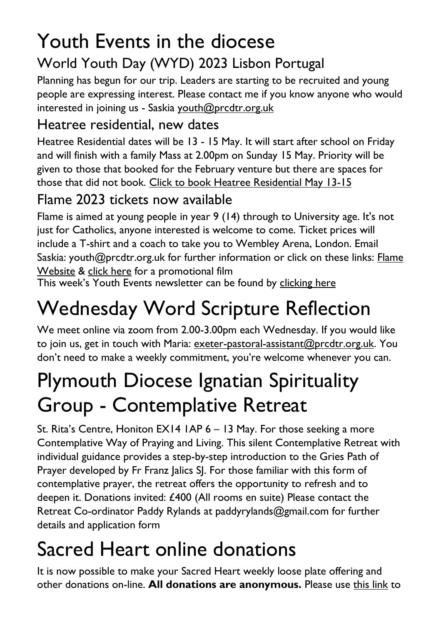# Youth Events in the diocese

#### World Youth Day (WYD) 2023 Lisbon Portugal

Planning has begun for our trip. Leaders are starting to be recruited and young people are expressing interest. Please contact me if you know anyone who would interested in joining us - Saskia [youth@prcdtr.org.uk](mailto:youth@prcdtr.org.uk)

#### Heatree residential, new dates

Heatree Residential dates will be 13 - 15 May. It will start after school on Friday and will finish with a family Mass at 2.00pm on Sunday 15 May. Priority will be given to those that booked for the February venture but there are spaces for those that did not book. [Click to book Heatree Residential May 13-15](https://linkprotect.cudasvc.com/url?a=https%3a%2f%2femail.workwithgusto.co.uk%2ft%2ft-l-qobz-jliihdujhk-t%2f&c=E,1,uTd0l8Q_M52Y_ElGkKKS0VyY-UpsQ5VmxTBtyAkC4U6lvj9hJdTURkr9WlUnW52p2yAR3fLdGROZ96NnLzDqYorCr5NK_xcxze5Ssc74_zhVnQ,,&typo=1)

#### Flame 2023 tickets now available

Flame is aimed at young people in year 9 (14) through to University age. It's not just for Catholics, anyone interested is welcome to come. Ticket prices will include a T-shirt and a coach to take you to Wembley Arena, London. Email Saskia: [youth@prcdtr.org.uk](mailto:youth@prcdtr.org.uk) for further information or click on these links: [Flame](https://linkprotect.cudasvc.com/url?a=https%3a%2f%2femail.workwithgusto.co.uk%2ft%2ft-l-qctujk-jlhtkkath-r%2f&c=E,1,Blk2ycDETYSiwjdC8Eum_yXBXPyalX-b89WAcrqe2YMLelINKYiJZh6-LBH8JPoujeqNupfBVu_8vYI4vpIXwhWWATVyeEad53kAGgn5xuT7TYzo2Q,,&typo=1)  [Website](https://linkprotect.cudasvc.com/url?a=https%3a%2f%2femail.workwithgusto.co.uk%2ft%2ft-l-qctujk-jlhtkkath-r%2f&c=E,1,Blk2ycDETYSiwjdC8Eum_yXBXPyalX-b89WAcrqe2YMLelINKYiJZh6-LBH8JPoujeqNupfBVu_8vYI4vpIXwhWWATVyeEad53kAGgn5xuT7TYzo2Q,,&typo=1) & [click here](https://www.youtube.com/watch?v=_HKvdbJ1PIE) for a promotional film

This week's Youth Events newsletter can be found by [clicking](https://email.workwithgusto.co.uk/t/t-43B88009F8595F652540EF23F30FEDED) here

# Wednesday Word Scripture Reflection

We meet online via zoom from 2.00-3.00pm each Wednesday. If you would like to join us, get in touch with Maria: [exeter-pastoral-assistant@prcdtr.org.uk.](mailto:exeter-pastoral-assistant@prcdtr.org.uk) You don't need to make a weekly commitment, you're welcome whenever you can.

### Plymouth Diocese Ignatian Spirituality Group - Contemplative Retreat

St. Rita's Centre, Honiton EX14 1AP 6 – 13 May. For those seeking a more Contemplative Way of Praying and Living. This silent Contemplative Retreat with individual guidance provides a step-by-step introduction to the Gries Path of Prayer developed by Fr Franz Jalics SJ. For those familiar with this form of contemplative prayer, the retreat offers the opportunity to refresh and to deepen it. Donations invited: £400 (All rooms en suite) Please contact the Retreat Co-ordinator Paddy Rylands at paddyrylands@gmail.com for further details and application form

## Sacred Heart online donations

It is now possible to make your Sacred Heart weekly loose plate offering and other donations on-line. **All donations are anonymous.** Please use [this link](https://givealittle.co/campaigns/f94e8739-d2fd-4ce6-9fca60470ef39403) to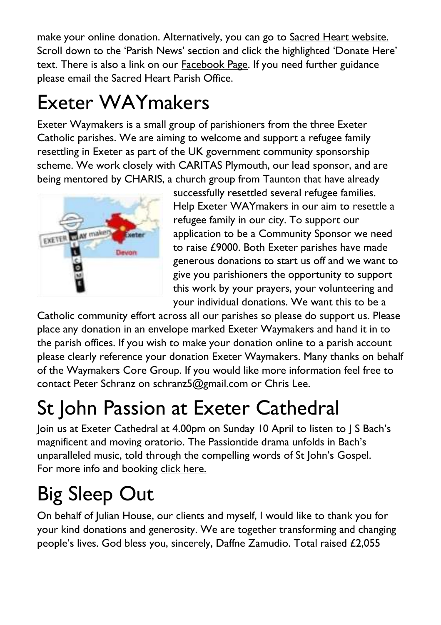make your online donation. Alternatively, you can go to [Sacred Heart website.](https://www.sacredheartexeter.org/) Scroll down to the 'Parish News' section and click the highlighted 'Donate Here' text. There is also a link on our [Facebook Page.](https://www.facebook.com/Sacred-HeartCatholic-Church-Exeter-422138011310698) If you need further guidance please email the Sacred Heart Parish Office.

## Exeter WAYmakers

Exeter Waymakers is a small group of parishioners from the three Exeter Catholic parishes. We are aiming to welcome and support a refugee family resettling in Exeter as part of the UK government community sponsorship scheme. We work closely with CARITAS Plymouth, our lead sponsor, and are being mentored by CHARIS, a church group from Taunton that have already



successfully resettled several refugee families. Help Exeter WAYmakers in our aim to resettle a refugee family in our city. To support our application to be a Community Sponsor we need to raise £9000. Both Exeter parishes have made generous donations to start us off and we want to give you parishioners the opportunity to support this work by your prayers, your volunteering and your individual donations. We want this to be a

Catholic community effort across all our parishes so please do support us. Please place any donation in an envelope marked Exeter Waymakers and hand it in to the parish offices. If you wish to make your donation online to a parish account please clearly reference your donation Exeter Waymakers. Many thanks on behalf of the Waymakers Core Group. If you would like more information feel free to contact Peter Schranz on schranz5@gmail.com or Chris Lee.

# St John Passion at Exeter Cathedral

Join us at Exeter Cathedral at 4.00pm on Sunday 10 April to listen to J S Bach's magnificent and moving oratorio. The Passiontide drama unfolds in Bach's unparalleled music, told through the compelling words of St John's Gospel. For more info and booking [click here.](https://www.exeter-cathedral.org.uk/whats-on/events/j-s-bach-st-john-passion-20220410-160000/)

# Big Sleep Out

On behalf of Julian House, our clients and myself, I would like to thank you for your kind donations and generosity. We are together transforming and changing people's lives. God bless you, sincerely, Daffne Zamudio. Total raised £2,055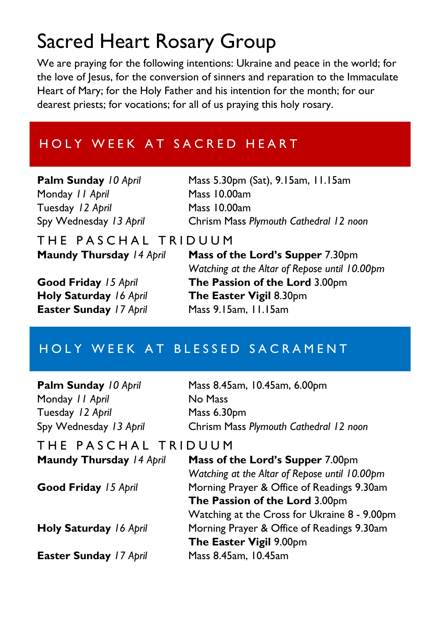### Sacred Heart Rosary Group

We are praying for the following intentions: Ukraine and peace in the world; for the love of lesus, for the conversion of sinners and reparation to the Immaculate Heart of Mary; for the Holy Father and his intention for the month; for our dearest priests; for vocations; for all of us praying this holy rosary.

#### HOLY WEEK AT SACRED HEART

Monday *11 April* Mass 10.00am Tuesday *12 April* Mass 10.00am

**Palm Sunday** *10 April* Mass 5.30pm (Sat), 9.15am, 11.15am Spy Wednesday *13 April* Chrism Mass *Plymouth Cathedral 12 noon*

THE PASCHAL TRIDUUM<br>Maundy Thursday 14 April Mass of t

**Easter Sunday** *17 April* Mass 9.15am, 11.15am

**Mass of the Lord's Supper** 7.30pm *Watching at the Altar of Repose until 10.00pm* **Good Friday** *15 April* **The Passion of the Lord** 3.00pm **Holy Saturday** *16 April* **The Easter Vigil** 8.30pm

#### HOLY WEEK AT BLESSED SACRAMENT

**Palm Sunday** *10 April* Mass 8.45am, 10.45am, 6.00pm Monday *11 April* No Mass Tuesday *12 April* Mass 6.30pm Spy Wednesday *13 April* Chrism Mass *Plymouth Cathedral 12 noon* T H E P A S C H A L T R I D U U M **Maundy Thursday** *14 April* **Mass of the Lord's Supper** 7.00pm *Watching at the Altar of Repose until 10.00pm* **Good Friday** *15 April* Morning Prayer & Office of Readings 9.30am **The Passion of the Lord** 3.00pm Watching at the Cross for Ukraine 8 - 9.00pm **Holy Saturday** *16 April* Morning Prayer & Office of Readings 9.30am **The Easter Vigil** 9.00pm **Easter Sunday** *17 April* Mass 8.45am, 10.45am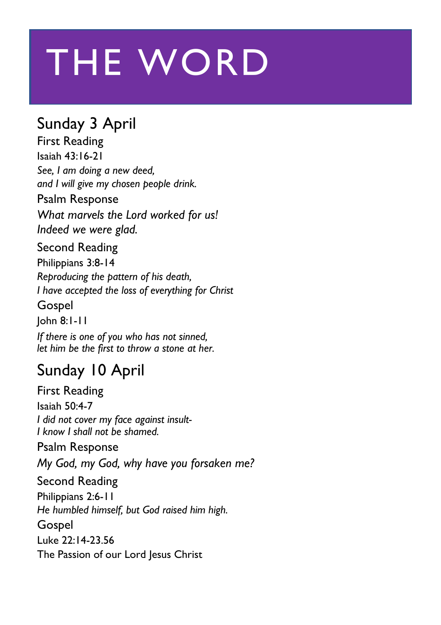# THE WORD

#### Sunday 3 April

First Reading Isaiah 43:16-21 *See, I am doing a new deed, and I will give my chosen people drink.*

#### Psalm Response

*What marvels the Lord worked for us! Indeed we were glad.*

Second Reading Philippians 3:8-14 *Reproducing the pattern of his death, I have accepted the loss of everything for Christ*

Gospel

John 8:1-11

*If there is one of you who has not sinned, let him be the first to throw a stone at her.*

#### Sunday 10 April

First Reading Isaiah 50:4-7 *I did not cover my face against insult-I know I shall not be shamed.*

Psalm Response *My God, my God, why have you forsaken me?* Second Reading Philippians 2:6-11 *He humbled himself, but God raised him high.* Gospel Luke 22:14-23.56 The Passion of our Lord Jesus Christ